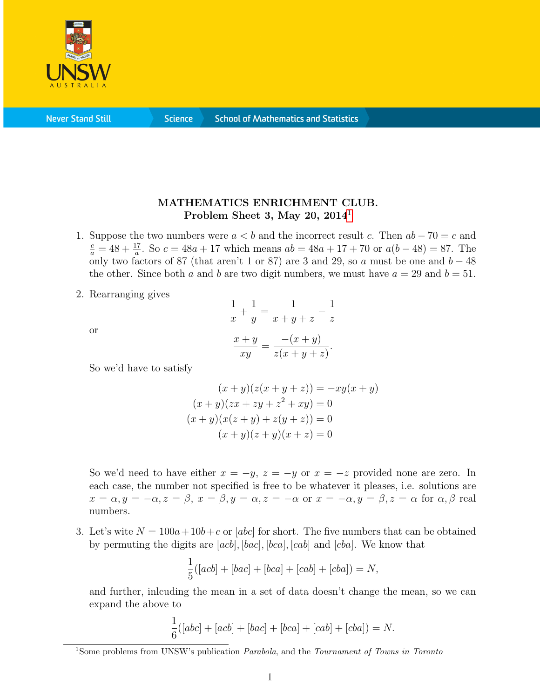

**Never Stand Still** 

**Science** 

## MATHEMATICS ENRICHMENT CLUB. Problem Sheet 3, May 20,  $2014<sup>1</sup>$  $2014<sup>1</sup>$  $2014<sup>1</sup>$

- 1. Suppose the two numbers were  $a < b$  and the incorrect result c. Then  $ab 70 = c$  and  $\frac{c}{a} = 48 + \frac{17}{a}$ . So  $c = 48a + 17$  which means  $ab = 48a + 17 + 70$  or  $a(b - 48) = 87$ . The only two factors of 87 (that aren't 1 or 87) are 3 and 29, so a must be one and  $b - 48$ the other. Since both a and b are two digit numbers, we must have  $a = 29$  and  $b = 51$ .
- 2. Rearranging gives

$$
\overline{\text{or}}
$$

$$
\frac{1}{x} + \frac{1}{y} = \frac{1}{x+y+z} - \frac{1}{z}
$$

$$
\frac{x+y}{xy} = \frac{-(x+y)}{z(x+y+z)}.
$$

So we'd have to satisfy

$$
(x + y)(z(x + y + z)) = -xy(x + y)
$$
  
\n
$$
(x + y)(zx + zy + z2 + xy) = 0
$$
  
\n
$$
(x + y)(x(z + y) + z(y + z)) = 0
$$
  
\n
$$
(x + y)(z + y)(x + z) = 0
$$

So we'd need to have either  $x = -y$ ,  $z = -y$  or  $x = -z$  provided none are zero. In each case, the number not specified is free to be whatever it pleases, i.e. solutions are  $x = \alpha, y = -\alpha, z = \beta, x = \beta, y = \alpha, z = -\alpha$  or  $x = -\alpha, y = \beta, z = \alpha$  for  $\alpha, \beta$  real numbers.

3. Let's wite  $N = 100a+10b+c$  or [abc] for short. The five numbers that can be obtained by permuting the digits are  $[acb], [bac], [bca], [cab]$  and  $[cba]$ . We know that

$$
\frac{1}{5}([acb] + [bac] + [bca] + [cab] + [cba]) = N,
$$

and further, inlcuding the mean in a set of data doesn't change the mean, so we can expand the above to

$$
\frac{1}{6}([abc] + [acb] + [bac] + [bca] + [cab] + [cba]) = N.
$$

<span id="page-0-0"></span><sup>&</sup>lt;sup>1</sup>Some problems from UNSW's publication *Parabola*, and the *Tournament of Towns in Toronto*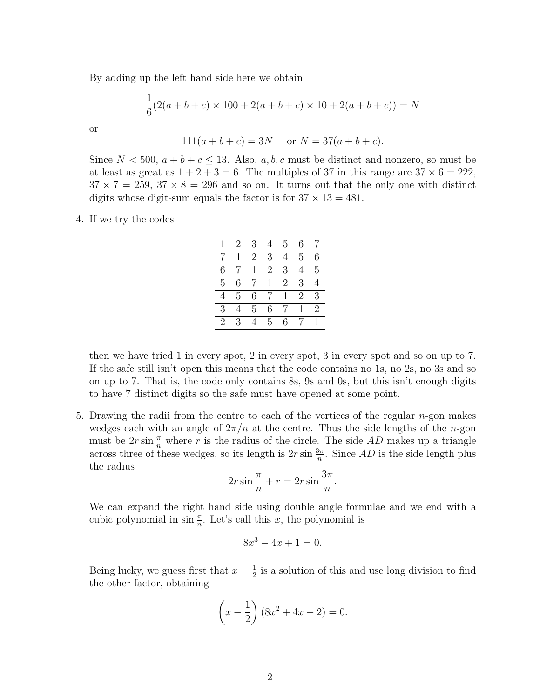By adding up the left hand side here we obtain

$$
\frac{1}{6}(2(a+b+c) \times 100 + 2(a+b+c) \times 10 + 2(a+b+c)) = N
$$

$$
\quad \text{or} \quad
$$

$$
111(a+b+c) = 3N \quad \text{or } N = 37(a+b+c).
$$

Since  $N < 500$ ,  $a + b + c \le 13$ . Also,  $a, b, c$  must be distinct and nonzero, so must be at least as great as  $1 + 2 + 3 = 6$ . The multiples of 37 in this range are  $37 \times 6 = 222$ ,  $37 \times 7 = 259, 37 \times 8 = 296$  and so on. It turns out that the only one with distinct digits whose digit-sum equals the factor is for  $37 \times 13 = 481$ .

## 4. If we try the codes

|   | 2 | 3 |              | 5              | 6 |                |
|---|---|---|--------------|----------------|---|----------------|
|   | 1 | 2 | 3            | 4              | 5 | 6              |
| 6 |   |   | 2            | 3              |   | 5              |
| 5 | 6 |   | $\mathbf{1}$ | $\overline{2}$ | 3 |                |
| 4 | 5 | 6 |              |                | 2 | 3              |
| 3 |   | 5 | 6            | 7              |   | $\overline{2}$ |
| 2 | 3 |   | 5            | 6              |   |                |

then we have tried 1 in every spot, 2 in every spot, 3 in every spot and so on up to 7. If the safe still isn't open this means that the code contains no 1s, no 2s, no 3s and so on up to 7. That is, the code only contains 8s, 9s and 0s, but this isn't enough digits to have 7 distinct digits so the safe must have opened at some point.

5. Drawing the radii from the centre to each of the vertices of the regular n-gon makes wedges each with an angle of  $2\pi/n$  at the centre. Thus the side lengths of the *n*-gon must be  $2r \sin \frac{\pi}{n}$  where r is the radius of the circle. The side AD makes up a triangle across three of these wedges, so its length is  $2r \sin \frac{3\pi}{n}$ . Since AD is the side length plus the radius

$$
2r\sin\frac{\pi}{n} + r = 2r\sin\frac{3\pi}{n}.
$$

We can expand the right hand side using double angle formulae and we end with a cubic polynomial in  $\sin \frac{\pi}{n}$ . Let's call this x, the polynomial is

$$
8x^3 - 4x + 1 = 0.
$$

Being lucky, we guess first that  $x=\frac{1}{2}$  $\frac{1}{2}$  is a solution of this and use long division to find the other factor, obtaining

$$
\left(x - \frac{1}{2}\right)(8x^2 + 4x - 2) = 0.
$$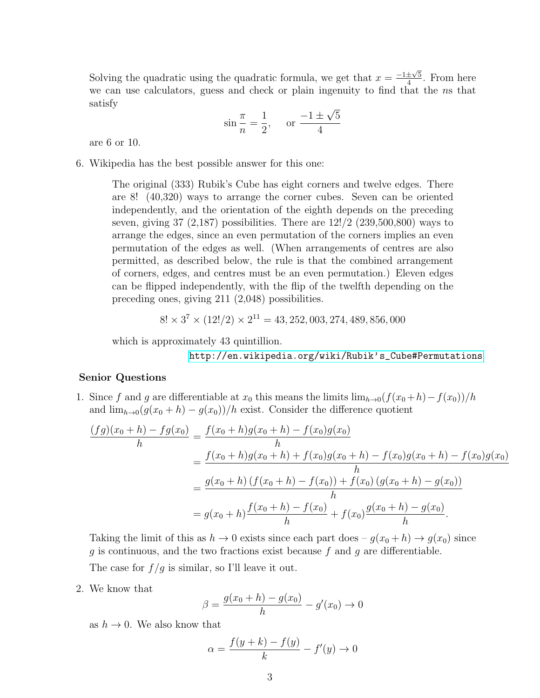Solving the quadratic using the quadratic formula, we get that  $x = \frac{-1 \pm \sqrt{5}}{4}$  $rac{\pm\sqrt{5}}{4}$ . From here we can use calculators, guess and check or plain ingenuity to find that the ns that satisfy √

$$
\sin \frac{\pi}{n} = \frac{1}{2}
$$
, or  $\frac{-1 \pm \sqrt{5}}{4}$ 

are 6 or 10.

6. Wikipedia has the best possible answer for this one:

The original (333) Rubik's Cube has eight corners and twelve edges. There are 8! (40,320) ways to arrange the corner cubes. Seven can be oriented independently, and the orientation of the eighth depends on the preceding seven, giving  $37$  (2,187) possibilities. There are  $12!/2$  (239,500,800) ways to arrange the edges, since an even permutation of the corners implies an even permutation of the edges as well. (When arrangements of centres are also permitted, as described below, the rule is that the combined arrangement of corners, edges, and centres must be an even permutation.) Eleven edges can be flipped independently, with the flip of the twelfth depending on the preceding ones, giving 211 (2,048) possibilities.

$$
8! \times 3^7 \times (12!/2) \times 2^{11} = 43,252,003,274,489,856,000
$$

which is approximately 43 quintillion.

[http://en.wikipedia.org/wiki/Rubik's\\_Cube#Permutations](http://en.wikipedia.org/wiki/Rubik)

## Senior Questions

1. Since f and g are differentiable at  $x_0$  this means the limits  $\lim_{h\to 0}(f(x_0+h)-f(x_0))/h$ and  $\lim_{h\to 0}(g(x_0+h)-g(x_0))/h$  exist. Consider the difference quotient

$$
\frac{(fg)(x_0 + h) - fg(x_0)}{h} = \frac{f(x_0 + h)g(x_0 + h) - f(x_0)g(x_0)}{h}
$$
  
= 
$$
\frac{f(x_0 + h)g(x_0 + h) + f(x_0)g(x_0 + h) - f(x_0)g(x_0 + h) - f(x_0)g(x_0)}{h}
$$
  
= 
$$
\frac{g(x_0 + h) (f(x_0 + h) - f(x_0)) + f(x_0) (g(x_0 + h) - g(x_0))}{h}
$$
  
= 
$$
g(x_0 + h) \frac{f(x_0 + h) - f(x_0)}{h} + f(x_0) \frac{g(x_0 + h) - g(x_0)}{h}.
$$

Taking the limit of this as  $h \to 0$  exists since each part does  $-g(x_0 + h) \to g(x_0)$  since g is continuous, and the two fractions exist because f and g are differentiable. The case for  $f/g$  is similar, so I'll leave it out.

2. We know that

$$
\beta = \frac{g(x_0 + h) - g(x_0)}{h} - g'(x_0) \to 0
$$

as  $h \to 0$ . We also know that

$$
\alpha = \frac{f(y+k) - f(y)}{k} - f'(y) \to 0
$$